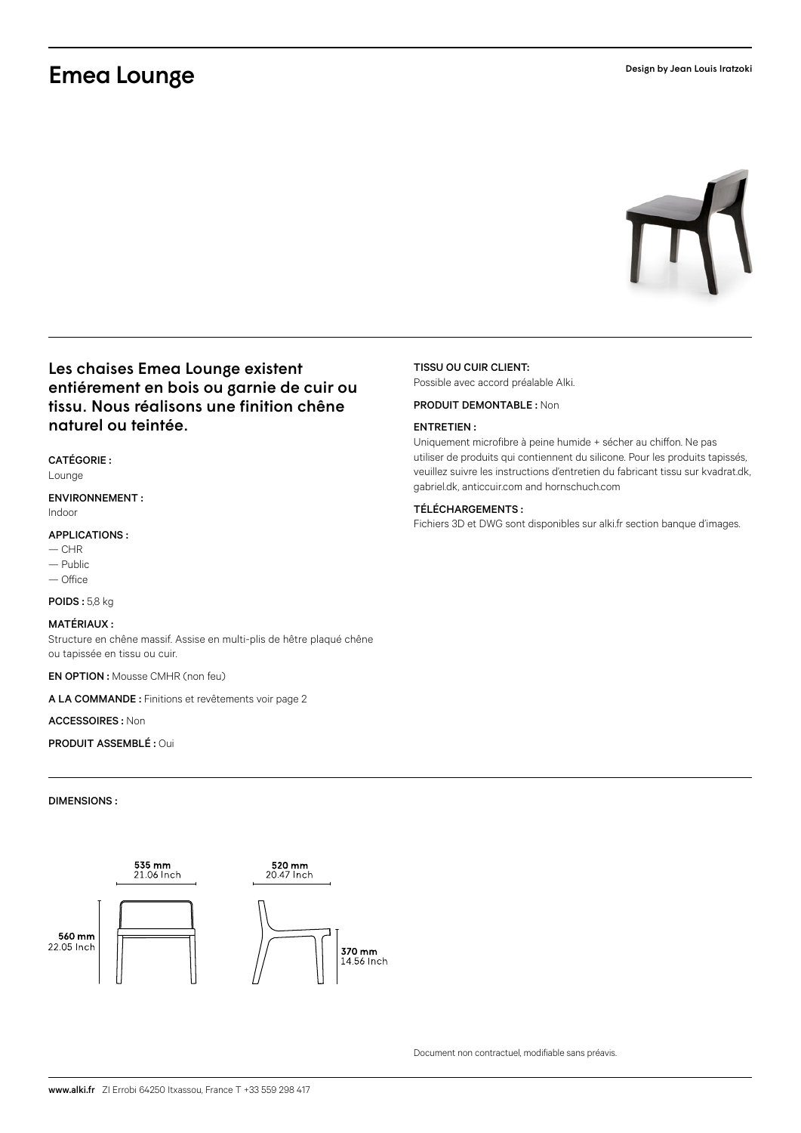# Emea Lounge



# Les chaises Emea Lounge existent entiérement en bois ou garnie de cuir ou tissu. Nous réalisons une finition chêne naturel ou teintée.

### CATÉGORIE :

Lounge

### ENVIRONNEMENT : Indoor

## APPLICATIONS :

- $-$  CHR
- Public
- Office

POIDS : 5,8 kg

## MATÉRIAUX :

Structure en chêne massif. Assise en multi-plis de hêtre plaqué chêne ou tapissée en tissu ou cuir.

EN OPTION : Mousse CMHR (non feu)

A LA COMMANDE : Finitions et revêtements voir page 2

## ACCESSOIRES : Non

PRODUIT ASSEMBLÉ : Oui

## DIMENSIONS :



# TISSU OU CUIR CLIENT:

Possible avec accord préalable Alki.

# PRODUIT DEMONTABLE : Non

#### ENTRETIEN :

Uniquement microfibre à peine humide + sécher au chiffon. Ne pas utiliser de produits qui contiennent du silicone. Pour les produits tapissés, veuillez suivre les instructions d'entretien du fabricant tissu sur kvadrat.dk, gabriel.dk, anticcuir.com and hornschuch.com

### TÉLÉCHARGEMENTS :

Fichiers 3D et DWG sont disponibles sur alki.fr section banque d'images.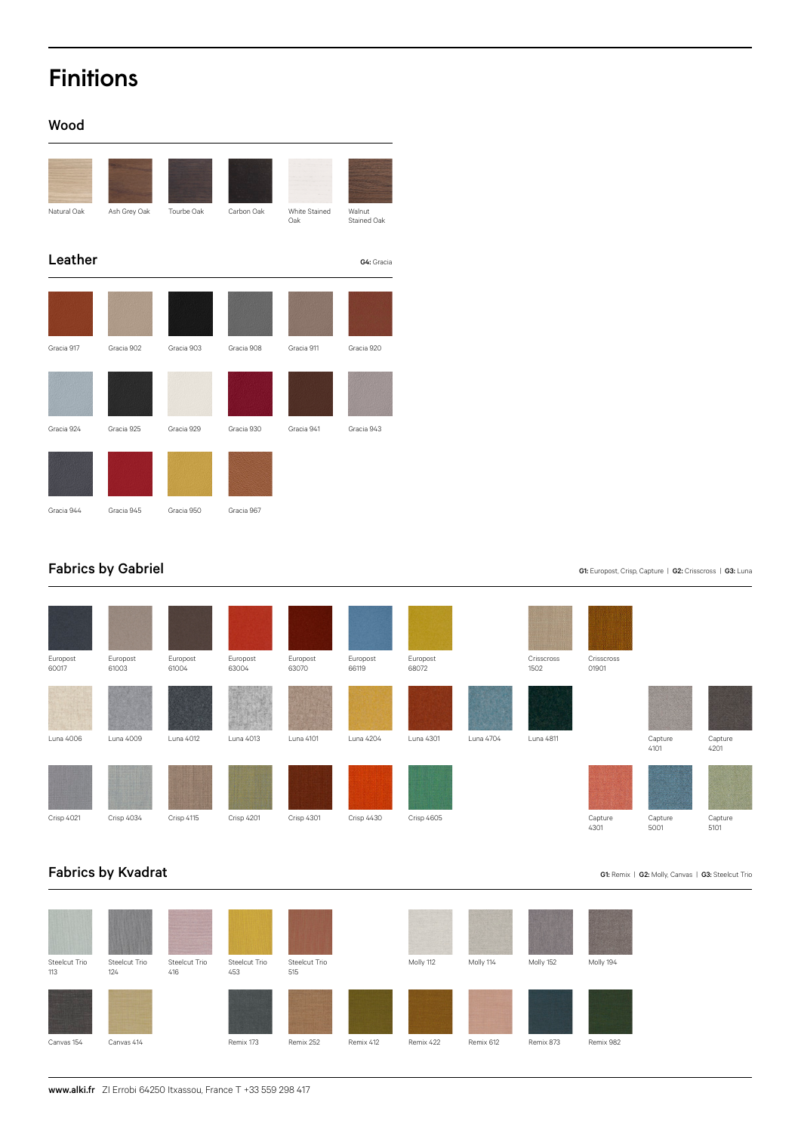# Finitions

# Wood



# Fabrics by Gabriel

| Europost<br>60017 | Europost<br>61003 | Europost<br>61004 | Europost<br>63004 | Europost<br>63070 | Europost<br>66119 | Europost<br>68072 |           | Crisscross<br>1502 | Crisscross<br>01901 |                                |                 |
|-------------------|-------------------|-------------------|-------------------|-------------------|-------------------|-------------------|-----------|--------------------|---------------------|--------------------------------|-----------------|
| Luna 4006         | Luna 4009         | Luna 4012         | Luna 4013         | Luna 4101         | Luna 4204         | Luna 4301         | Luna 4704 | Luna 4811          |                     | <u>u za</u><br>Capture<br>4101 | Capture<br>4201 |
| Crisp 4021        | Crisp 4034        | Crisp 4115        | <b>Crisp 4201</b> | Crisp 4301        | Crisp 4430        | Crisp 4605        |           |                    | Capture<br>4301     | Capture<br>5001                | Capture<br>5101 |

# Fabrics by Kvadrat



## G1: Europost, Crisp, Capture | G2: Crisscross | G3: Luna

G1: Remix | G2: Molly, Canvas | G3: Steelcut Trio